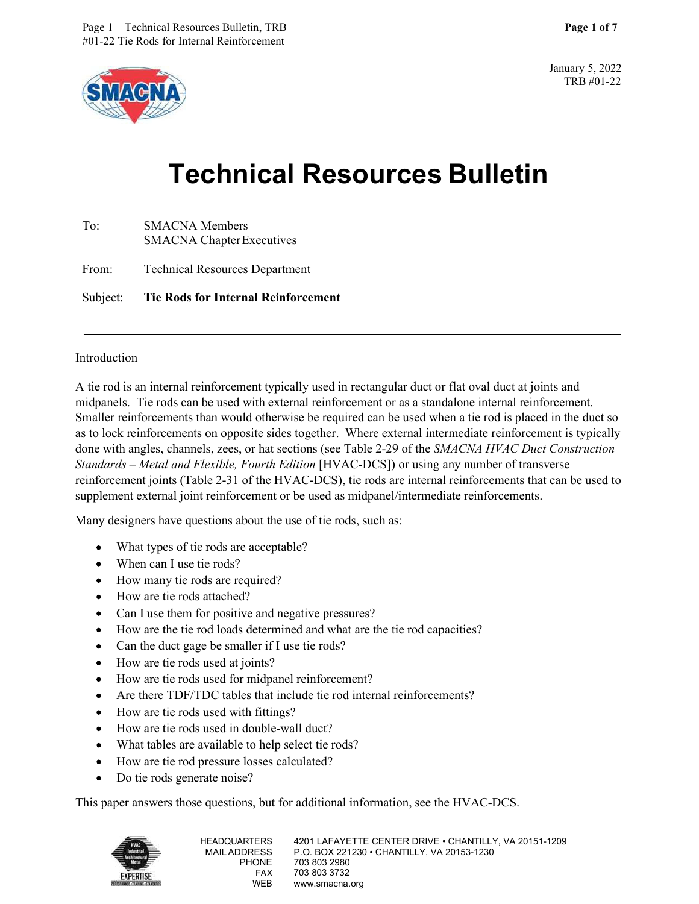

January 5, 2022 TRB #01-22

# Resources Bulletin, TRB<br>
Page 1 of 7<br>
Technical Resources Bulletin<br>
Technical Resources Bulletin<br>
CNA Members<br>
CNA Members Page 1 – Technical Resources Bulletin, TRB<br>#01-22 Tie Rods for Internal Reinforcement<br>**From:**<br>Technical Resources Bullet<br>To:<br>SMACNA Members<br>SMACNA Chapter Executives<br>From: Technical Resources Department<br>Subject: Tie Rods f

| To: | <b>SMACNA</b> Members            |  |
|-----|----------------------------------|--|
|     | <b>SMACNA</b> Chapter Executives |  |
|     |                                  |  |

Subject: Tie Rods for Internal Reinforcement

# Introduction

A tie rod is an internal reinforcement typically used in rectangular duct or flat oval duct at joints and midpanels. Tie rods can be used with external reinforcement or as a standalone internal reinforcement. Smaller reinforcements than would otherwise be required can be used when a tie rod is placed in the duct so as to lock reinforcements on opposite sides together. Where external intermediate reinforcement is typically done with angles, channels, zees, or hat sections (see Table 2-29 of the SMACNA HVAC Duct Construction Standards – Metal and Flexible, Fourth Edition [HVAC-DCS]) or using any number of transverse reinforcement joints (Table 2-31 of the HVAC-DCS), tie rods are internal reinforcements that can be used to supplement external joint reinforcement or be used as midpanel/intermediate reinforcements.

Many designers have questions about the use of tie rods, such as:

- What types of tie rods are acceptable?
- When can I use tie rods?
- How many tie rods are required?
- How are tie rods attached?
- Can I use them for positive and negative pressures?
- How are the tie rod loads determined and what are the tie rod capacities?
- Can the duct gage be smaller if I use tie rods?
- How are tie rods used at joints?
- How are tie rods used for midpanel reinforcement?
- Are there TDF/TDC tables that include tie rod internal reinforcements?
- How are tie rods used with fittings?
- How are tie rods used in double-wall duct?
- What tables are available to help select tie rods?
- How are tie rod pressure losses calculated?  $\bullet$
- Do tie rods generate noise?  $\bullet$

This paper answers those questions, but for additional information, see the HVAC-DCS.

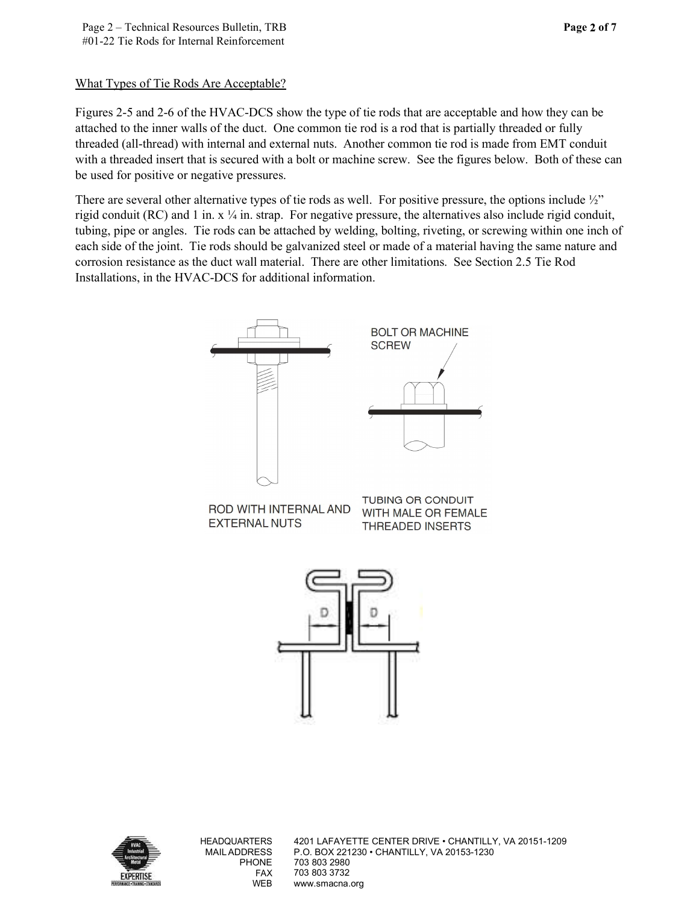# What Types of Tie Rods Are Acceptable?

Figures 2-5 and 2-6 of the HVAC-DCS show the type of tie rods that are acceptable and how they can be attached to the inner walls of the duct. One common tie rod is a rod that is partially threaded or fully threaded (all-thread) with internal and external nuts. Another common tie rod is made from EMT conduit with a threaded insert that is secured with a bolt or machine screw. See the figures below. Both of these can be used for positive or negative pressures.

There are several other alternative types of tie rods as well. For positive pressure, the options include  $\frac{1}{2}$ " rigid conduit (RC) and 1 in.  $x \frac{1}{4}$  in. strap. For negative pressure, the alternatives also include rigid conduit, tubing, pipe or angles. Tie rods can be attached by welding, bolting, riveting, or screwing within one inch of each side of the joint. Tie rods should be galvanized steel or made of a material having the same nature and corrosion resistance as the duct wall material. There are other limitations. See Section 2.5 Tie Rod Installations, in the HVAC-DCS for additional information.





HEADQUARTERS 4201 LAFAYETTE CENTER DRIVE • CHANTILLY, VA 20151-1209 MAIL ADDRESS P.O. BOX 221230 • CHANTILLY, VA 20153-1230 PHONE 703 803 2980 FAX 703 803 3732 WEB www.smacna.org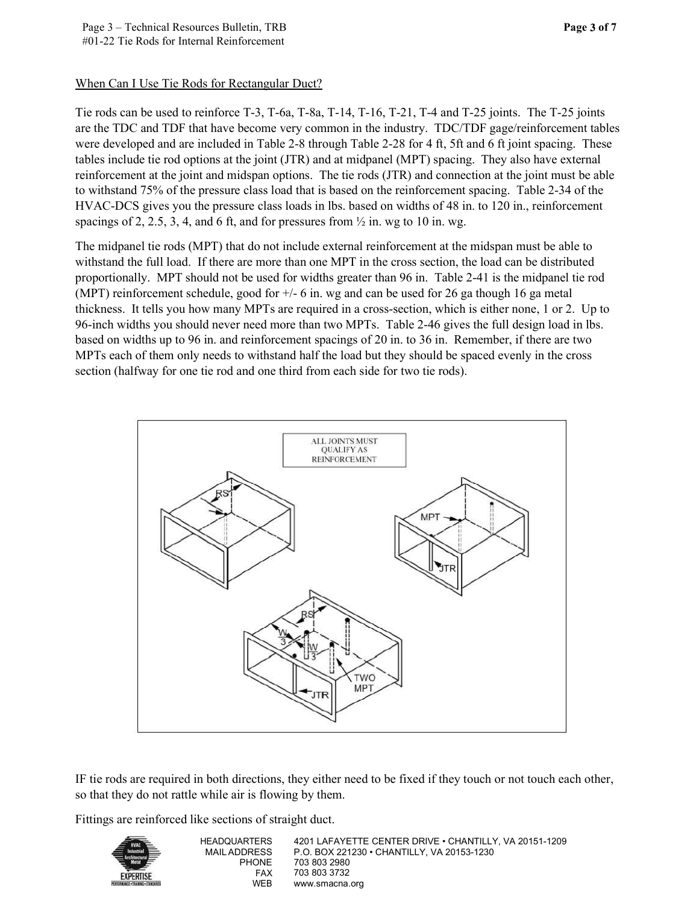# When Can I Use Tie Rods for Rectangular Duct?

Tie rods can be used to reinforce T-3, T-6a, T-8a, T-14, T-16, T-21, T-4 and T-25 joints. The T-25 joints are the TDC and TDF that have become very common in the industry. TDC/TDF gage/reinforcement tables were developed and are included in Table 2-8 through Table 2-28 for 4 ft, 5ft and 6 ft joint spacing. These tables include tie rod options at the joint (JTR) and at midpanel (MPT) spacing. They also have external reinforcement at the joint and midspan options. The tie rods (JTR) and connection at the joint must be able to withstand 75% of the pressure class load that is based on the reinforcement spacing. Table 2-34 of the HVAC-DCS gives you the pressure class loads in lbs. based on widths of 48 in. to 120 in., reinforcement spacings of 2, 2.5, 3, 4, and 6 ft, and for pressures from  $\frac{1}{2}$  in. wg to 10 in. wg.

The midpanel tie rods (MPT) that do not include external reinforcement at the midspan must be able to withstand the full load. If there are more than one MPT in the cross section, the load can be distributed proportionally. MPT should not be used for widths greater than 96 in. Table 2-41 is the midpanel tie rod (MPT) reinforcement schedule, good for +/- 6 in. wg and can be used for 26 ga though 16 ga metal thickness. It tells you how many MPTs are required in a cross-section, which is either none, 1 or 2. Up to 96-inch widths you should never need more than two MPTs. Table 2-46 gives the full design load in lbs. based on widths up to 96 in. and reinforcement spacings of 20 in. to 36 in. Remember, if there are two MPTs each of them only needs to withstand half the load but they should be spaced evenly in the cross section (halfway for one tie rod and one third from each side for two tie rods).



IF tie rods are required in both directions, they either need to be fixed if they touch or not touch each other, so that they do not rattle while air is flowing by them.

Fittings are reinforced like sections of straight duct.



HEADQUARTERS 4201 LAFAYETTE CENTER DRIVE • CHANTILLY, VA 20151-1209 MAIL ADDRESS P.O. BOX 221230 • CHANTILLY, VA 20153-1230 PHONE 703 803 2980 FAX 703 803 3732 WEB www.smacna.org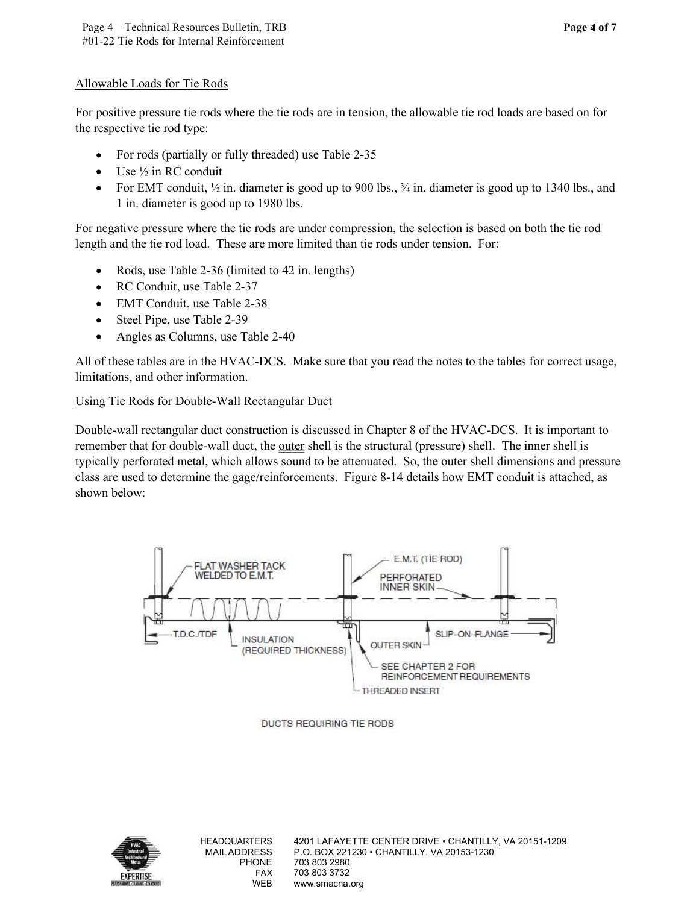#### Allowable Loads for Tie Rods

For positive pressure tie rods where the tie rods are in tension, the allowable tie rod loads are based on for the respective tie rod type:

- For rods (partially or fully threaded) use Table 2-35  $\bullet$
- Use ½ in RC conduit
- For EMT conduit,  $\frac{1}{2}$  in. diameter is good up to 900 lbs.,  $\frac{3}{4}$  in. diameter is good up to 1340 lbs., and  $\bullet$ 1 in. diameter is good up to 1980 lbs.

For negative pressure where the tie rods are under compression, the selection is based on both the tie rod length and the tie rod load. These are more limited than tie rods under tension. For:

- Rods, use Table 2-36 (limited to 42 in. lengths)
- $\bullet$ RC Conduit, use Table 2-37
- EMT Conduit, use Table 2-38
- Steel Pipe, use Table 2-39  $\bullet$
- $\bullet$ Angles as Columns, use Table 2-40

All of these tables are in the HVAC-DCS. Make sure that you read the notes to the tables for correct usage, limitations, and other information.

# Using Tie Rods for Double-Wall Rectangular Duct

Double-wall rectangular duct construction is discussed in Chapter 8 of the HVAC-DCS. It is important to remember that for double-wall duct, the outer shell is the structural (pressure) shell. The inner shell is typically perforated metal, which allows sound to be attenuated. So, the outer shell dimensions and pressure class are used to determine the gage/reinforcements. Figure 8-14 details how EMT conduit is attached, as shown below:



DUCTS REQUIRING TIE RODS

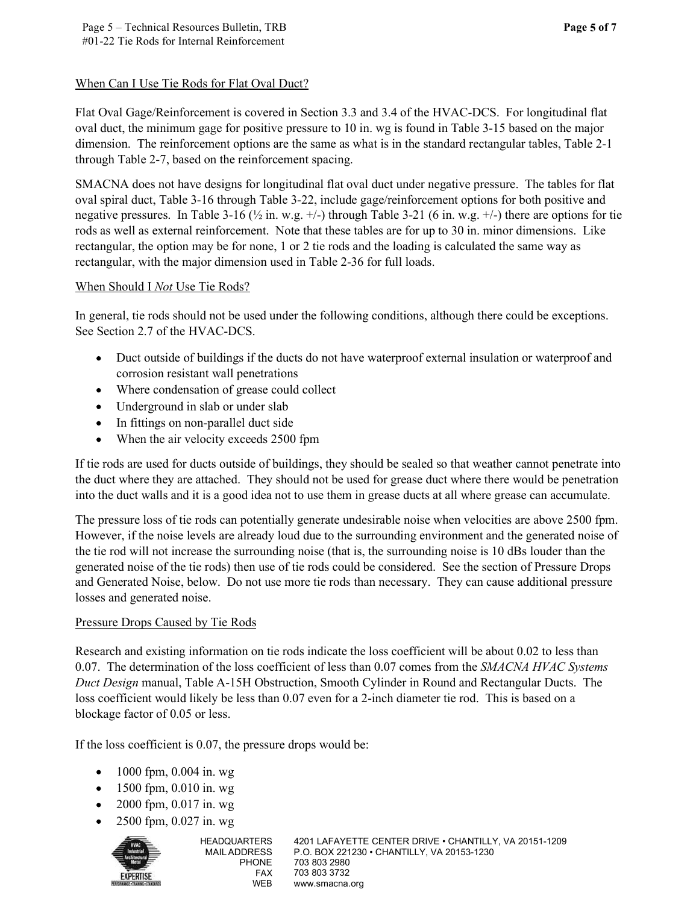# When Can I Use Tie Rods for Flat Oval Duct?

Flat Oval Gage/Reinforcement is covered in Section 3.3 and 3.4 of the HVAC-DCS. For longitudinal flat oval duct, the minimum gage for positive pressure to 10 in. wg is found in Table 3-15 based on the major dimension. The reinforcement options are the same as what is in the standard rectangular tables, Table 2-1 through Table 2-7, based on the reinforcement spacing.

SMACNA does not have designs for longitudinal flat oval duct under negative pressure. The tables for flat oval spiral duct, Table 3-16 through Table 3-22, include gage/reinforcement options for both positive and negative pressures. In Table 3-16 ( $\frac{1}{2}$  in. w.g.  $+/-$ ) through Table 3-21 (6 in. w.g.  $+/-$ ) there are options for tie rods as well as external reinforcement. Note that these tables are for up to 30 in. minor dimensions. Like rectangular, the option may be for none, 1 or 2 tie rods and the loading is calculated the same way as rectangular, with the major dimension used in Table 2-36 for full loads.

# When Should I Not Use Tie Rods?

In general, tie rods should not be used under the following conditions, although there could be exceptions. See Section 2.7 of the HVAC-DCS.

- $\bullet$ Duct outside of buildings if the ducts do not have waterproof external insulation or waterproof and corrosion resistant wall penetrations
- Where condensation of grease could collect
- $\bullet$ Underground in slab or under slab
- In fittings on non-parallel duct side  $\bullet$
- $\bullet$ When the air velocity exceeds 2500 fpm

If tie rods are used for ducts outside of buildings, they should be sealed so that weather cannot penetrate into the duct where they are attached. They should not be used for grease duct where there would be penetration into the duct walls and it is a good idea not to use them in grease ducts at all where grease can accumulate.

The pressure loss of tie rods can potentially generate undesirable noise when velocities are above 2500 fpm. However, if the noise levels are already loud due to the surrounding environment and the generated noise of the tie rod will not increase the surrounding noise (that is, the surrounding noise is 10 dBs louder than the generated noise of the tie rods) then use of tie rods could be considered. See the section of Pressure Drops and Generated Noise, below. Do not use more tie rods than necessary. They can cause additional pressure losses and generated noise.

# Pressure Drops Caused by Tie Rods

Research and existing information on tie rods indicate the loss coefficient will be about 0.02 to less than 0.07. The determination of the loss coefficient of less than 0.07 comes from the SMACNA HVAC Systems Duct Design manual, Table A-15H Obstruction, Smooth Cylinder in Round and Rectangular Ducts. The loss coefficient would likely be less than 0.07 even for a 2-inch diameter tie rod. This is based on a blockage factor of 0.05 or less.

If the loss coefficient is 0.07, the pressure drops would be:

- 1000 fpm, 0.004 in. wg  $\bullet$
- $\bullet$  1500 fpm, 0.010 in. wg
- 2000 fpm, 0.017 in. wg
- 2500 fpm, 0.027 in. wg



HEADQUARTERS 4201 LAFAYETTE CENTER DRIVE • CHANTILLY, VA 20151-1209 MAIL ADDRESS P.O. BOX 221230 • CHANTILLY, VA 20153-1230 PHONE 703 803 2980 FAX 703 803 3732 WEB www.smacna.org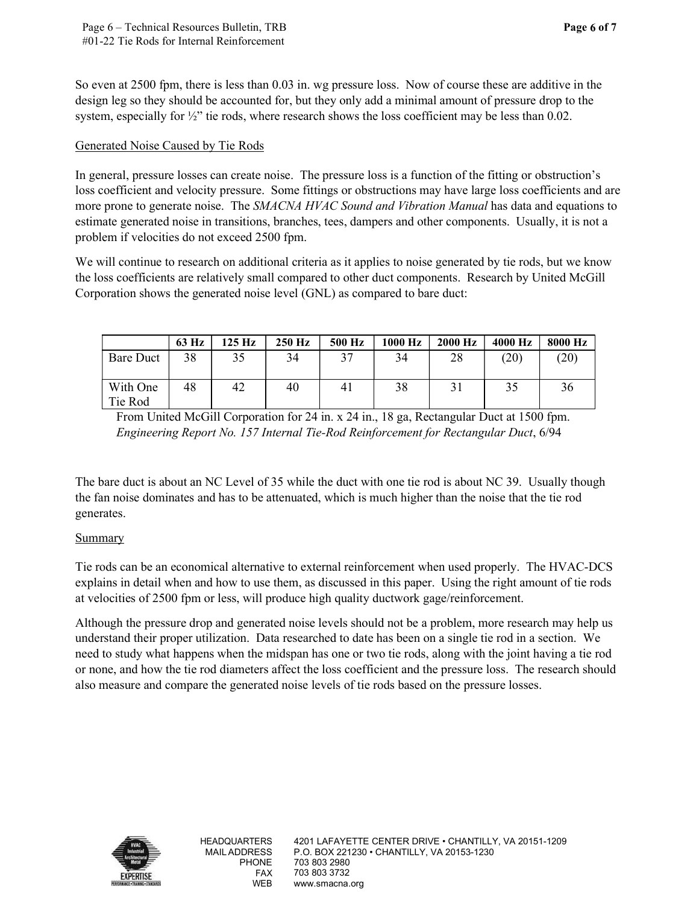Page 6 of 7

Page 6 – Technical Resources Bulletin, TRB<br>#01-22 Tie Rods for Internal Reinforcement<br>o even at 2500 fpm, there is less than 0.03 in. wg pressure loss. Now of course the<br>esign leg so they should be accounted for, but they So even at 2500 fpm, there is less than 0.03 in. wg pressure loss. Now of course these are additive in the design leg so they should be accounted for, but they only add a minimal amount of pressure drop to the system, especially for  $\frac{1}{2}$ " tie rods, where research shows the loss coefficient may be less than 0.02.

# Generated Noise Caused by Tie Rods

In general, pressure losses can create noise. The pressure loss is a function of the fitting or obstruction's loss coefficient and velocity pressure. Some fittings or obstructions may have large loss coefficients and are more prone to generate noise. The SMACNA HVAC Sound and Vibration Manual has data and equations to estimate generated noise in transitions, branches, tees, dampers and other components. Usually, it is not a problem if velocities do not exceed 2500 fpm. **1.** there is less than 0.03 in. wg pressure loss. Now of course these are additive in the about de accounted for, but they only add a minimal amount of pressure drop to the or  $h^2$ " tie rods, where research shows the lo n at 2500 fpm, there is less than 0.03 in. wg pressure loss. Now of course these are additive in the leg so they should be accounted for, but they only add a minimal amount of pressure drop to the leg so they should be ac and be accounted for, but they only add a minimal amount of pressure drop to the  $\frac{1}{2}$ " tie rods, where research shows the loss coefficient may be less than 0.02.<br>
<u>sed by Tie Rods</u><br>
seses can create noise. The press

We will continue to research on additional criteria as it applies to noise generated by tie rods, but we know the loss coefficients are relatively small compared to other duct components. Research by United McGill Corporation shows the generated noise level (GNL) as compared to bare duct:

|                     | 63 Hz | 125 Hz | 250 Hz | 500 Hz | 1000 Hz | 2000 Hz | 4000 Hz | 8000 Hz |
|---------------------|-------|--------|--------|--------|---------|---------|---------|---------|
| Bare Duct           | 38    | 35     | 34     | 37     | 34      | 28      | (20)    | (20)    |
| With One<br>Tie Rod | 48    | 42     | 40     | -4 î   | 38      |         | 35      | 36      |

From United McGill Corporation for 24 in. x 24 in., 18 ga, Rectangular Duct at 1500 fpm. Engineering Report No. 157 Internal Tie-Rod Reinforcement for Rectangular Duct, 6/94

The bare duct is about an NC Level of 35 while the duct with one tie rod is about NC 39. Usually though the fan noise dominates and has to be attenuated, which is much higher than the noise that the tie rod generates.

#### Summary

Tie rods can be an economical alternative to external reinforcement when used properly. The HVAC-DCS explains in detail when and how to use them, as discussed in this paper. Using the right amount of tie rods at velocities of 2500 fpm or less, will produce high quality ductwork gage/reinforcement.

Although the pressure drop and generated noise levels should not be a problem, more research may help us understand their proper utilization. Data researched to date has been on a single tie rod in a section. We need to study what happens when the midspan has one or two tie rods, along with the joint having a tie rod or none, and how the tie rod diameters affect the loss coefficient and the pressure loss. The research should also measure and compare the generated noise levels of tie rods based on the pressure losses.